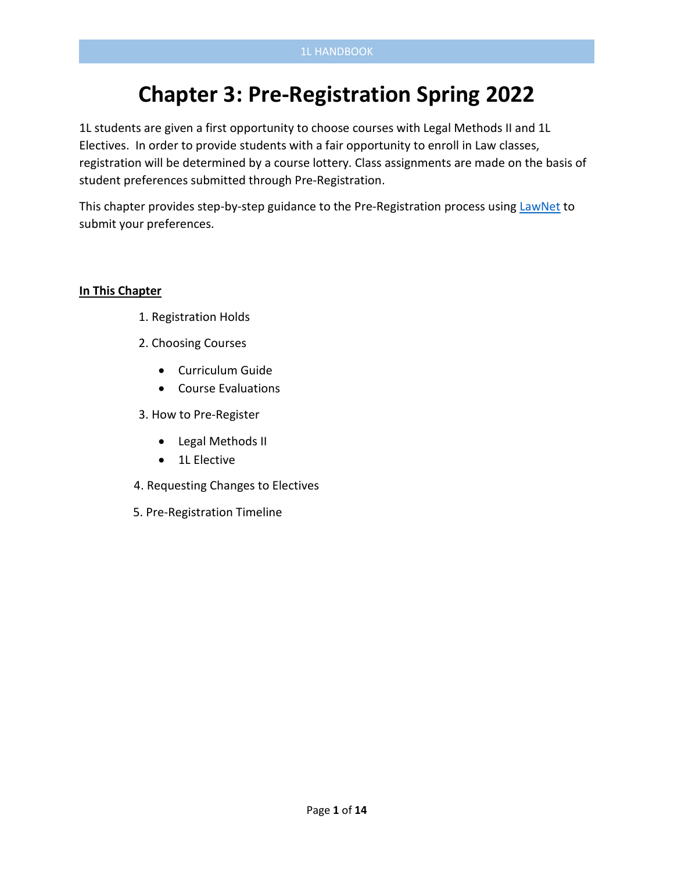# **Chapter 3: Pre-Registration Spring 2022**

1L students are given a first opportunity to choose courses with Legal Methods II and 1L Electives. In order to provide students with a fair opportunity to enroll in Law classes, registration will be determined by a course lottery. Class assignments are made on the basis of student preferences submitted through Pre-Registration.

This chapter provides step-by-step guidance to the Pre-Registration process using [LawNet](https://lawnetportal.law.columbia.edu/) to submit your preferences.

#### **In This Chapter**

- 1. Registration Holds
- 2. Choosing Courses
	- Curriculum Guide
	- Course Evaluations
- 3. How to Pre-Register
	- Legal Methods II
	- 1L Elective
- 4. Requesting Changes to Electives
- 5. Pre-Registration Timeline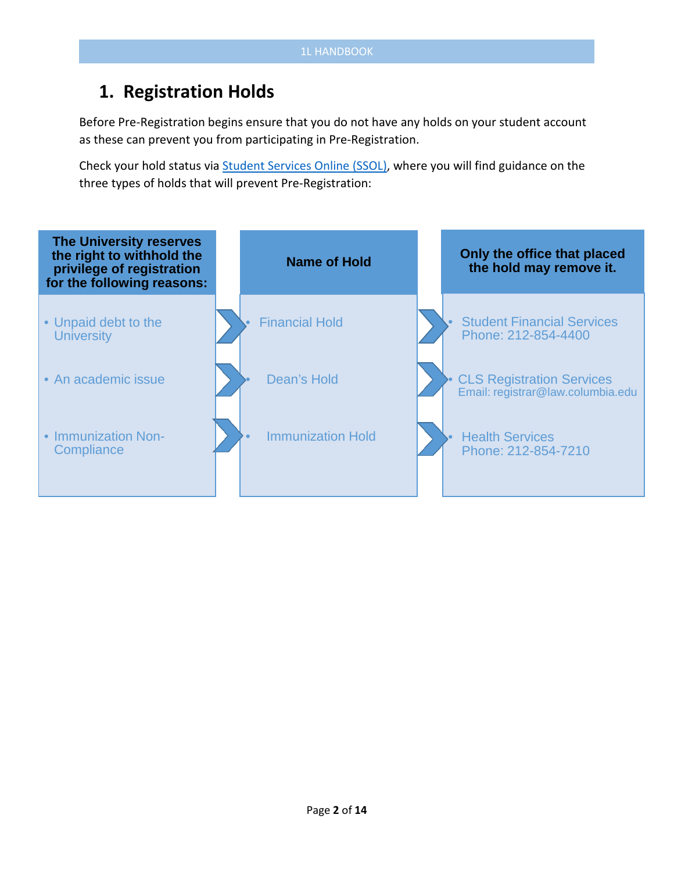# **1. Registration Holds**

Before Pre-Registration begins ensure that you do not have any holds on your student account as these can prevent you from participating in Pre-Registration.

Check your hold status via [Student Services Online \(SSOL\),](https://ssol.columbia.edu/) where you will find guidance on the three types of holds that will prevent Pre-Registration:

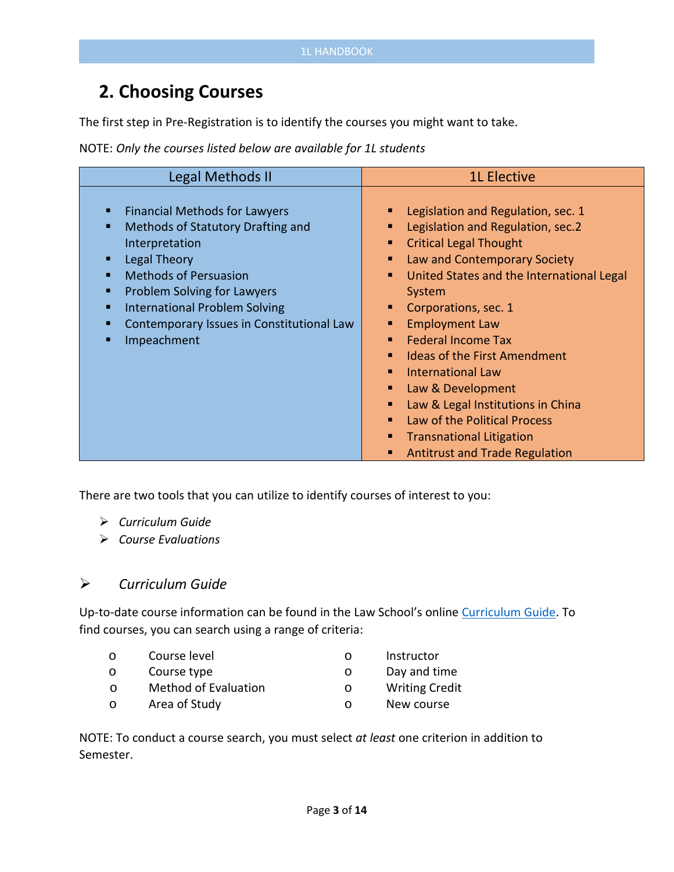# **2. Choosing Courses**

The first step in Pre-Registration is to identify the courses you might want to take.

NOTE: *Only the courses listed below are available for 1L students*

| Legal Methods II                                                                                                                                                                                                                                                                                                         | <b>1L Elective</b>                                                                                                                                                                                                                                                                                                                                                                                                                                                                                              |
|--------------------------------------------------------------------------------------------------------------------------------------------------------------------------------------------------------------------------------------------------------------------------------------------------------------------------|-----------------------------------------------------------------------------------------------------------------------------------------------------------------------------------------------------------------------------------------------------------------------------------------------------------------------------------------------------------------------------------------------------------------------------------------------------------------------------------------------------------------|
| <b>Financial Methods for Lawyers</b><br>п<br>Methods of Statutory Drafting and<br>п<br>Interpretation<br><b>Legal Theory</b><br>п<br><b>Methods of Persuasion</b><br>п<br>Problem Solving for Lawyers<br>п<br><b>International Problem Solving</b><br>п<br>Contemporary Issues in Constitutional Law<br>п<br>Impeachment | Legislation and Regulation, sec. 1<br>Legislation and Regulation, sec.2<br><b>Critical Legal Thought</b><br>Law and Contemporary Society<br>United States and the International Legal<br>System<br>Corporations, sec. 1<br><b>Employment Law</b><br><b>Federal Income Tax</b><br><b>Ideas of the First Amendment</b><br><b>International Law</b><br>Law & Development<br>Law & Legal Institutions in China<br>Law of the Political Process<br><b>Transnational Litigation</b><br>Antitrust and Trade Regulation |

There are two tools that you can utilize to identify courses of interest to you:

- *Curriculum Guide*
- *Course Evaluations*

#### *Curriculum Guide*

Up-to-date course information can be found in the Law School's online [Curriculum Guide.](file://lawsrv3/Groups/Acd-csrv/Handbook/law.columbia.edu/courses/search) To find courses, you can search using a range of criteria:

- o Course level
- o Course type
- o Instructor
- o Day and time
- o Method of Evaluation o Writing Credit
- o Area of Study o New course
- 

NOTE: To conduct a course search, you must select *at least* one criterion in addition to Semester.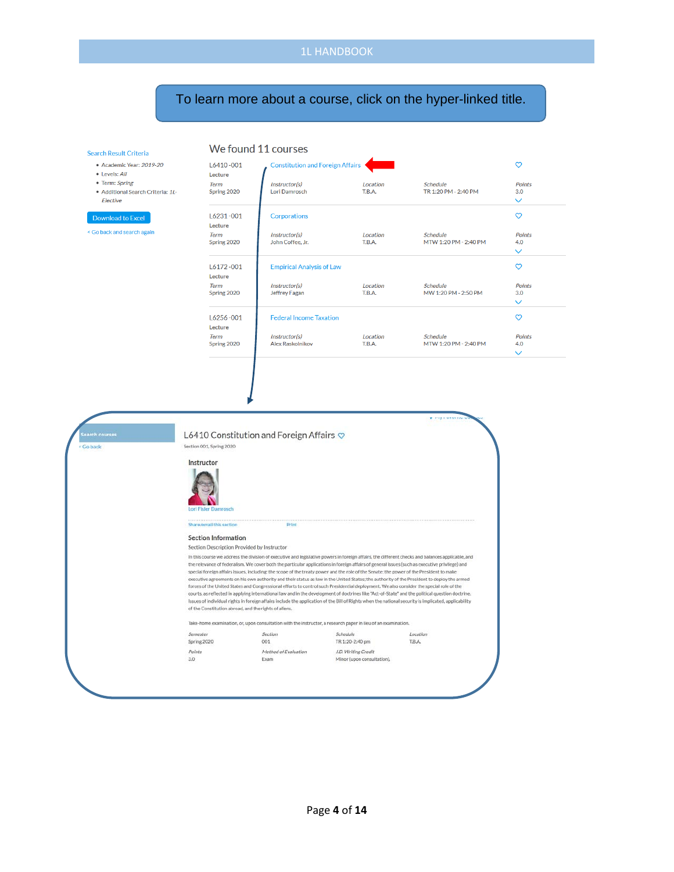We found 11 courses

#### To learn more about a course, click on the hyper-linked title.

#### Search Result Criteria

- Academic Year: 2019-20
- $\bullet$  Levels: All
- Term: Spring
- Additional Search Criteria: 1L-Elective

< Go back and search again

| $L6410 - 001$<br>Lecture   | <b>Constitution and Foreign Affairs</b> |                    |                                          | ო                                    |
|----------------------------|-----------------------------------------|--------------------|------------------------------------------|--------------------------------------|
| Term<br>Spring 2020        | Instructor(s)<br>Lori Damrosch          | Location<br>T.B.A. | <b>Schedule</b><br>TR 1:20 PM - 2:40 PM  | <b>Points</b><br>3.0<br>$\checkmark$ |
| $L6231 - 001$<br>Lecture   | Corporations                            |                    |                                          | က                                    |
| Term<br>Spring 2020        | Instructor(s)<br>John Coffee, Jr.       | Location<br>T.B.A. | <b>Schedule</b><br>MTW 1:20 PM - 2:40 PM | <b>Points</b><br>4.0                 |
|                            |                                         |                    |                                          | $\checkmark$                         |
| $L6172 - 001$<br>Lecture   | <b>Empirical Analysis of Law</b>        |                    |                                          | က                                    |
| Term<br>Spring 2020        | Instructor(s)<br><b>Jeffrey Fagan</b>   | Location<br>T.B.A. | <b>Schedule</b><br>MW 1:20 PM - 2:50 PM  | <b>Points</b><br>3.0<br>$\checkmark$ |
| L6256-001<br>Lecture       | <b>Federal Income Taxation</b>          |                    |                                          | ຕ                                    |
| <b>Term</b><br>Spring 2020 | Instructor(s)<br>Alex Raskolnikov       | Location<br>T.B.A. | <b>Schedule</b><br>MTW 1:20 PM - 2:40 PM | <b>Points</b><br>4.0                 |
|                            |                                         |                    |                                          | $\checkmark$                         |
|                            |                                         |                    |                                          |                                      |

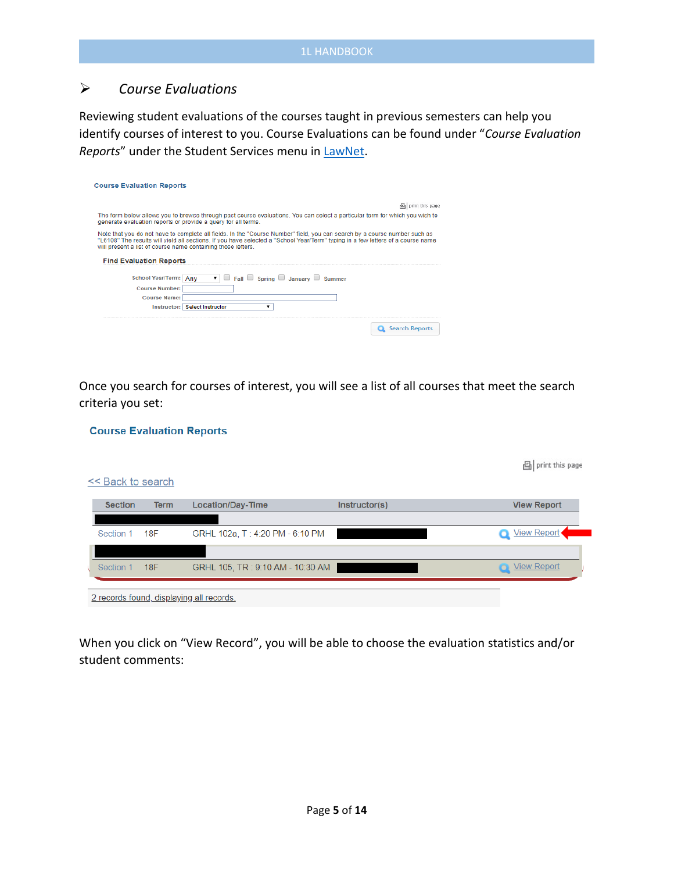#### *Course Evaluations*

Reviewing student evaluations of the courses taught in previous semesters can help you identify courses of interest to you. Course Evaluations can be found under "*Course Evaluation Reports*" under the Student Services menu in [LawNet.](https://lawnetportal.law.columbia.edu/)

| <b>Course Evaluation Reports</b>                                                                                                                                                                                                                                                                                             |
|------------------------------------------------------------------------------------------------------------------------------------------------------------------------------------------------------------------------------------------------------------------------------------------------------------------------------|
| 凸 print this page                                                                                                                                                                                                                                                                                                            |
| The form below allows you to browse through past course evaluations. You can select a particular term for which you wish to<br>generate evaluation reports or provide a guery for all terms.                                                                                                                                 |
| Note that you do not have to complete all fields. In the "Course Number" field, you can search by a course number such as<br>"L6108" The results will yield all sections. If you have selected a "School Year/Term" typing in a few letters of a course name<br>will present a list of course name containing those letters. |
| <b>Find Evaluation Reports</b>                                                                                                                                                                                                                                                                                               |
| $\Box$ Fall $\Box$ Spring $\Box$ January $\Box$<br><b>School Year/Term:</b><br>Anv<br>Summer<br><b>Course Number:</b><br><b>Course Name:</b><br><b>Instructor: Select Instructor</b>                                                                                                                                         |
| <b>Search Reports</b>                                                                                                                                                                                                                                                                                                        |

Once you search for courses of interest, you will see a list of all courses that meet the search criteria you set:

| <b>Course Evaluation Reports</b>         |                                  |               |                      |
|------------------------------------------|----------------------------------|---------------|----------------------|
|                                          |                                  |               | 图 print this page    |
| << Back to search                        |                                  |               |                      |
| <b>Section</b><br><b>Term</b>            | <b>Location/Day-Time</b>         | Instructor(s) | <b>View Report</b>   |
|                                          |                                  |               |                      |
| 18F<br>Section 1                         | GRHL 102a, T: 4:20 PM - 6:10 PM  |               | View Report          |
|                                          |                                  |               |                      |
| 18F<br>Section 1                         | GRHL 105, TR: 9:10 AM - 10:30 AM |               | <b>O</b> View Report |
|                                          |                                  |               |                      |
| 2 records found, displaying all records. |                                  |               |                      |

When you click on "View Record", you will be able to choose the evaluation statistics and/or student comments: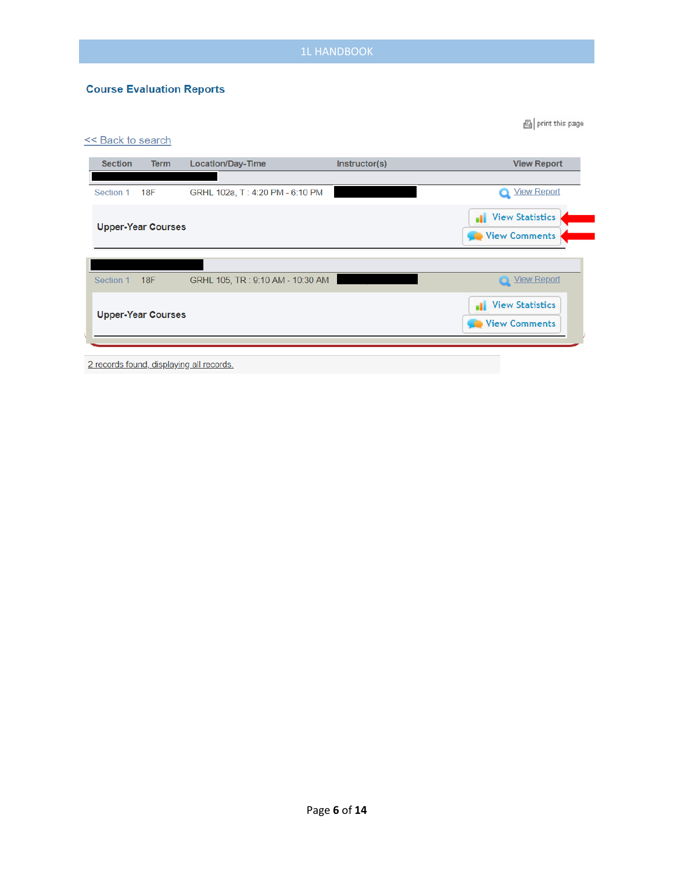×

#### **Course Evaluation Reports**

| <b>Section</b> | <b>Term</b>               | Location/Day-Time                | Instructor(s) | <b>View Report</b>                            |
|----------------|---------------------------|----------------------------------|---------------|-----------------------------------------------|
| Section 1      | 18F                       | GRHL 102a, T: 4:20 PM - 6:10 PM  |               | View Report                                   |
|                | <b>Upper-Year Courses</b> |                                  |               | <b>View Statistics</b><br>аl<br>View Comments |
|                |                           |                                  |               |                                               |
| Section 1      | 18F                       | GRHL 105, TR: 9:10 AM - 10:30 AM |               | View Report                                   |
|                | <b>Upper-Year Courses</b> |                                  |               | <b>View Statistics</b><br>ш                   |
|                |                           |                                  |               | View Comments                                 |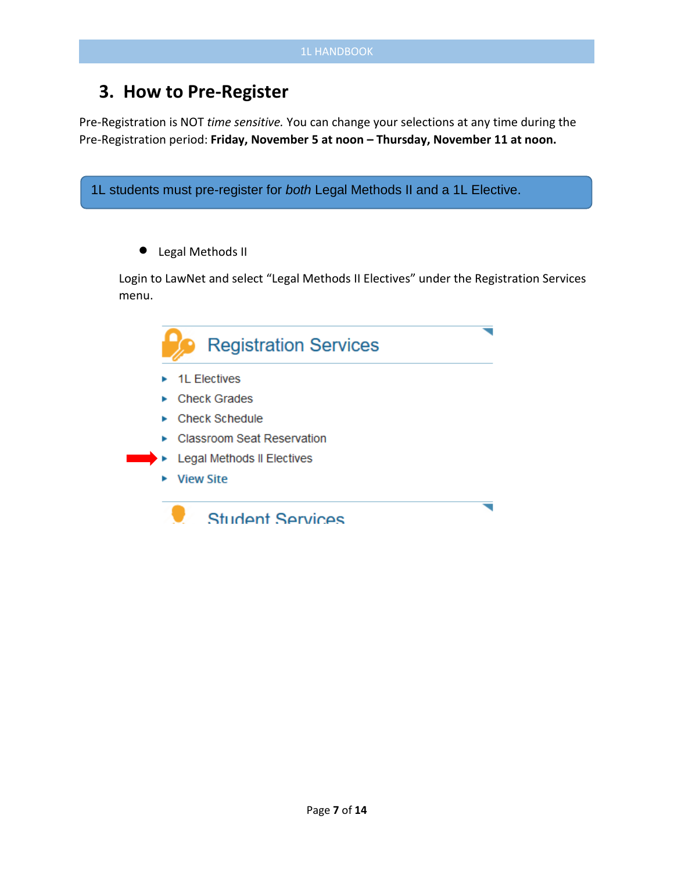## **3. How to Pre-Register**

Pre-Registration is NOT *time sensitive.* You can change your selections at any time during the Pre-Registration period: **Friday, November 5 at noon – Thursday, November 11 at noon.**

```
1L students must pre-register for both Legal Methods II and a 1L Elective.• Legal Methods II
Login to LawNet and select "Legal Methods II Electives" under the Registration Services 
menu.
               Registration Services
       ▶ 1L Electives
       ► Check Grades
       Check Schedule
       ► Classroom Seat Reservation
          Legal Methods II Electives
       ▶ View Site
               Student Services
```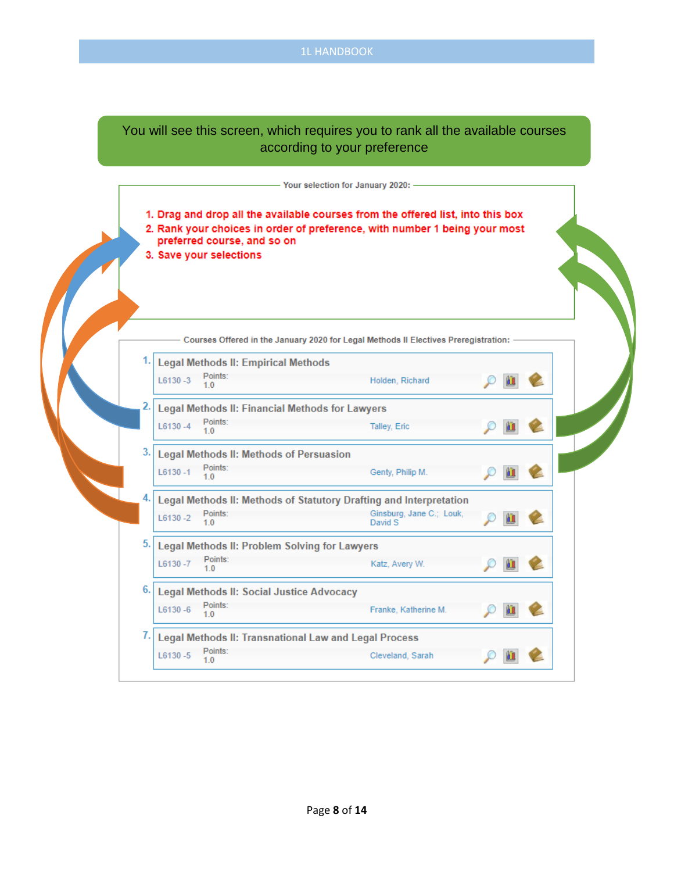#### You will see this screen, which requires you to rank all the available courses according to your preference

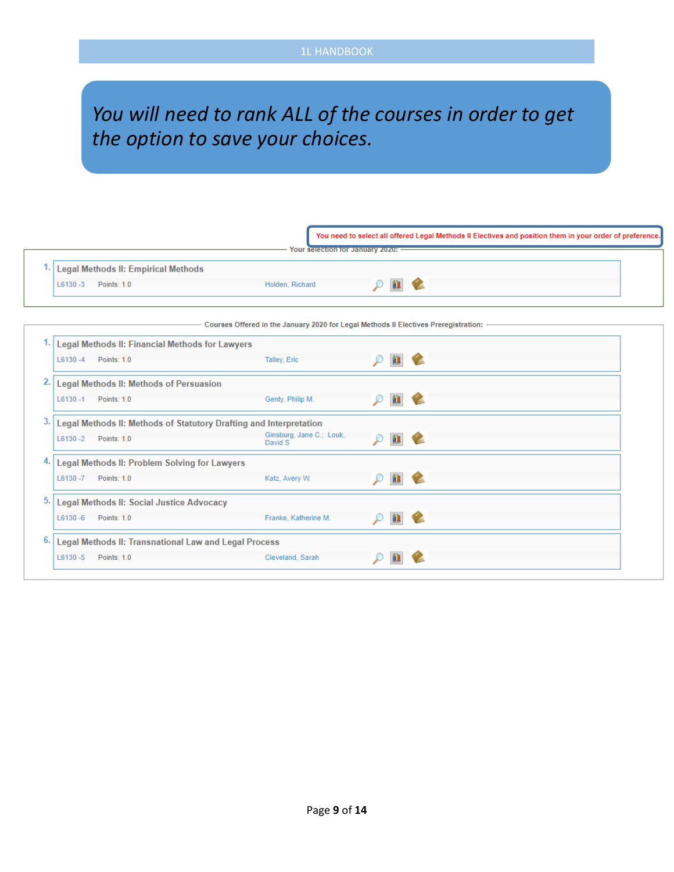# *You will need to rank ALL of the courses in order to get the option to save your choices.*

| <b>Legal Methods II: Empirical Methods</b>                               |                                                                                     |               |   |   |
|--------------------------------------------------------------------------|-------------------------------------------------------------------------------------|---------------|---|---|
| $L6130 - 3$<br>Points: 1.0                                               | Holden, Richard                                                                     | $\mathcal{D}$ | 血 |   |
|                                                                          | Courses Offered in the January 2020 for Legal Methods II Electives Preregistration: |               |   |   |
| Legal Methods II: Financial Methods for Lawyers                          |                                                                                     |               |   |   |
| $L6130 - 4$<br>Points: 1.0                                               | Talley, Eric                                                                        |               |   |   |
| 2.<br><b>Legal Methods II: Methods of Persuasion</b>                     |                                                                                     |               |   |   |
| Points: 1.0<br>$L6130 - 1$                                               | Genty, Philip M.                                                                    | $\varphi$     | 仙 | G |
| 3.<br>Legal Methods II: Methods of Statutory Drafting and Interpretation |                                                                                     |               |   |   |
| $L6130 - 2$<br>Points: 1.0                                               | Ginsburg, Jane C.; Louk,<br>David S                                                 | O             | 血 | Ł |
| Legal Methods II: Problem Solving for Lawyers                            |                                                                                     |               |   |   |
| L6130-7<br>Points: 1.0                                                   | Katz, Avery W.                                                                      | O             | 血 |   |
| 5.<br>Legal Methods II: Social Justice Advocacy                          |                                                                                     |               |   |   |
| <b>Points: 1.0</b><br>$L6130 - 6$                                        | Franke, Katherine M.                                                                |               | 題 |   |
| Legal Methods II: Transnational Law and Legal Process                    |                                                                                     |               |   |   |
| $L6130 - 5$<br><b>Points: 1.0</b>                                        | Cleveland, Sarah                                                                    |               |   |   |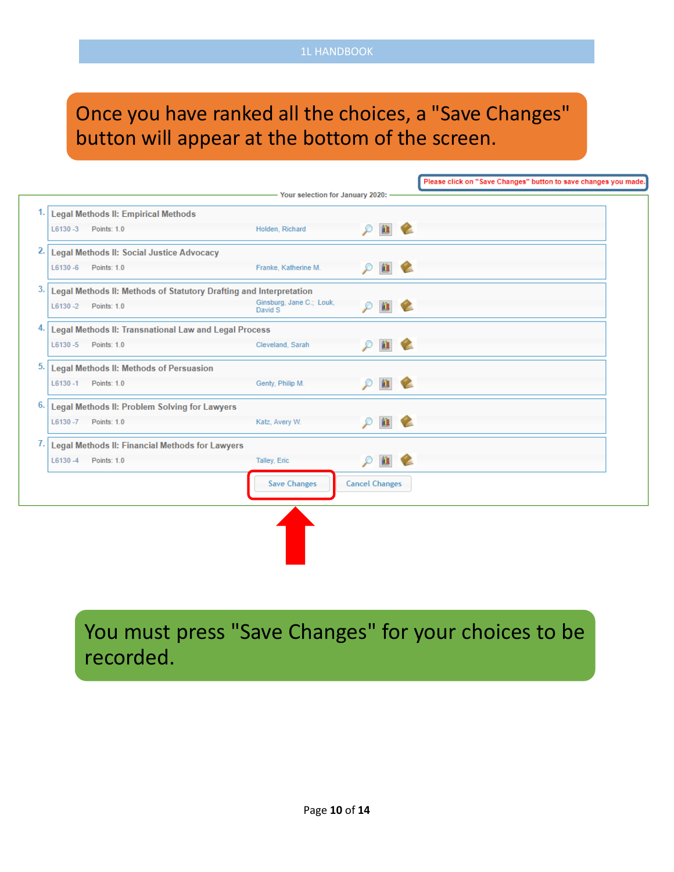# Once you have ranked all the choices, a "Save Changes" button will appear at the bottom of the screen.

|                                                                    |                                     |                               |    | Please click on "Save Changes" button to save changes you made. |
|--------------------------------------------------------------------|-------------------------------------|-------------------------------|----|-----------------------------------------------------------------|
|                                                                    | - Your selection for January 2020:  |                               |    |                                                                 |
| <b>Legal Methods II: Empirical Methods</b>                         |                                     |                               |    |                                                                 |
| Points: 1.0<br>$L6130 - 3$                                         | Holden, Richard                     | 血<br>$\mathcal{L}$            | v  |                                                                 |
| Legal Methods II: Social Justice Advocacy                          |                                     |                               |    |                                                                 |
| L6130 -6   Points: 1.0                                             | Franke, Katherine M.                | 血<br>$\mathcal{D}$            | V. |                                                                 |
| Legal Methods II: Methods of Statutory Drafting and Interpretation |                                     |                               |    |                                                                 |
| L6130 -2 Points: 1.0                                               | Ginsburg, Jane C.; Louk,<br>David S | 血<br>$\varphi$                | V. |                                                                 |
| Legal Methods II: Transnational Law and Legal Process              |                                     |                               |    |                                                                 |
| L6130-5 Points: 1.0                                                | Cleveland, Sarah                    | 血<br>P                        | Ł  |                                                                 |
| <b>Legal Methods II: Methods of Persuasion</b>                     |                                     |                               |    |                                                                 |
| L6130-1 Points: 1.0                                                | Genty, Philip M.                    | $\mathbf{m}$<br>$\mathcal{L}$ | V. |                                                                 |
| Legal Methods II: Problem Solving for Lawyers                      |                                     |                               |    |                                                                 |
| L6130-7 Points: 1.0                                                | Katz, Avery W.                      | 血<br>$\mathcal{L}$            | V. |                                                                 |
| Legal Methods II: Financial Methods for Lawyers                    |                                     |                               |    |                                                                 |
| $L6130 - 4$<br>Points: 1.0                                         | Talley, Eric                        | 血<br>$\varphi$                |    |                                                                 |
|                                                                    | <b>Save Changes</b>                 | <b>Cancel Changes</b>         |    |                                                                 |
|                                                                    |                                     |                               |    |                                                                 |
|                                                                    |                                     |                               |    |                                                                 |

You must press "Save Changes" for your choices to be recorded.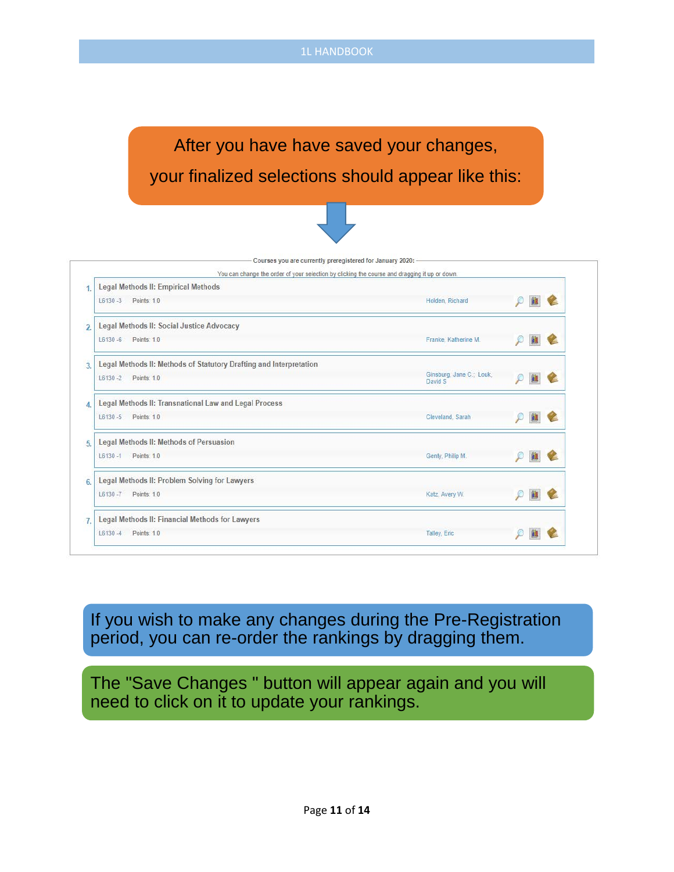# After you have have saved your changes, your finalized selections should appear like this:



| Legal Methods II: Empirical Methods                                |                                     |  |  |
|--------------------------------------------------------------------|-------------------------------------|--|--|
| Points: 1.0<br>$L6130 - 3$                                         | Holden, Richard                     |  |  |
| Legal Methods II: Social Justice Advocacy                          |                                     |  |  |
| Points: 1.0<br>$L6130 - 6$                                         | Franke, Katherine M.                |  |  |
| Legal Methods II: Methods of Statutory Drafting and Interpretation |                                     |  |  |
| $L6130 - 2$<br>Points: 1.0                                         | Ginsburg, Jane C.; Louk,<br>David S |  |  |
| Legal Methods II: Transnational Law and Legal Process              |                                     |  |  |
| Points: 10<br>$16130 - 5$                                          | Cleveland, Sarah                    |  |  |
| Legal Methods II: Methods of Persuasion                            |                                     |  |  |
| Points: 1.0<br>$L6130 - 1$                                         | Genty, Philip M.                    |  |  |
| Legal Methods II: Problem Solving for Lawyers                      |                                     |  |  |
| Points: 1.0<br>$L6130 - 7$                                         | Katz, Avery W.                      |  |  |
| Legal Methods II: Financial Methods for Lawyers                    |                                     |  |  |
| Points: 1.0<br>$L6130 - 4$                                         | <b>Talley, Eric</b>                 |  |  |

If you wish to make any changes during the Pre-Registration period, you can re-order the rankings by dragging them.

The "Save Changes " button will appear again and you will need to click on it to update your rankings.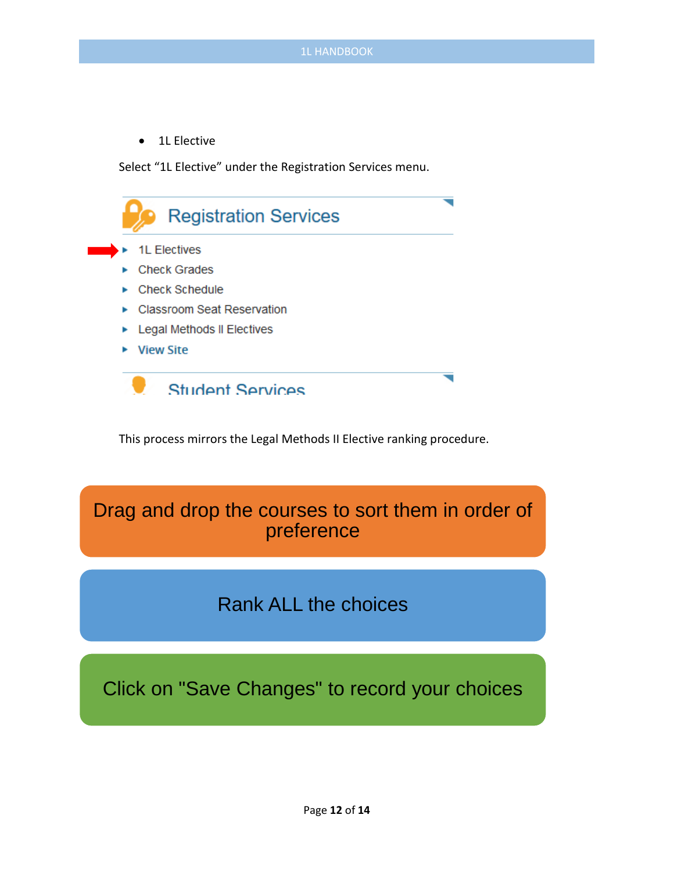• 1L Elective

Select "1L Elective" under the Registration Services menu.



This process mirrors the Legal Methods II Elective ranking procedure.

## Drag and drop the courses to sort them in order of preference

## Rank ALL the choices

Click on "Save Changes" to record your choices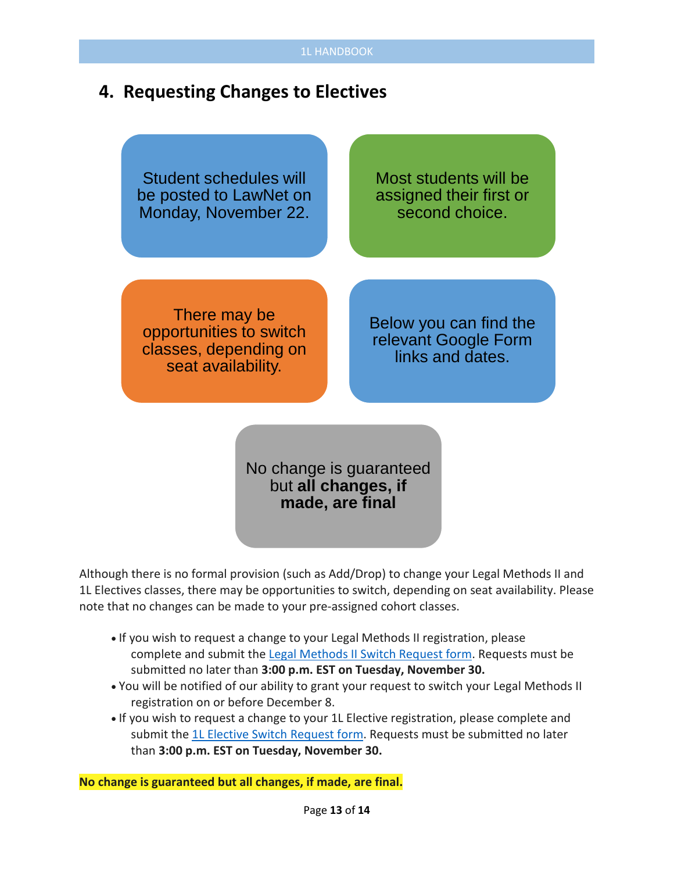### **4. Requesting Changes to Electives**

Student schedules will be posted to LawNet on Monday, November 22.

Most students will be assigned their first or second choice.

There may be opportunities to switch classes, depending on seat availability.

Below you can find the relevant Google Form links and dates.

No change is guaranteed but **all changes, if made, are final**

Although there is no formal provision (such as Add/Drop) to change your Legal Methods II and 1L Electives classes, there may be opportunities to switch, depending on seat availability. Please note that no changes can be made to your pre-assigned cohort classes.

- If you wish to request a change to your Legal Methods II registration, please complete and submit the [Legal Methods II Switch Request form.](https://docs.google.com/forms/d/e/1FAIpQLSfuN7ROP2xUJPDVlCyw4z8J7pbuzenRE2G6fH0ug4ursBDqPA/closedform) Requests must be submitted no later than **3:00 p.m. EST on Tuesday, November 30.**
- You will be notified of our ability to grant your request to switch your Legal Methods II registration on or before December 8.
- If you wish to request a change to your 1L Elective registration, please complete and submit the [1L Elective Switch Request form.](https://docs.google.com/forms/d/e/1FAIpQLSc7xinPwgJhoZss2zJPmyiOZSblhhGSYpLYZlwSofBQYOB-dw/closedform) Requests must be submitted no later than **3:00 p.m. EST on Tuesday, November 30.**

**No change is guaranteed but all changes, if made, are final.**